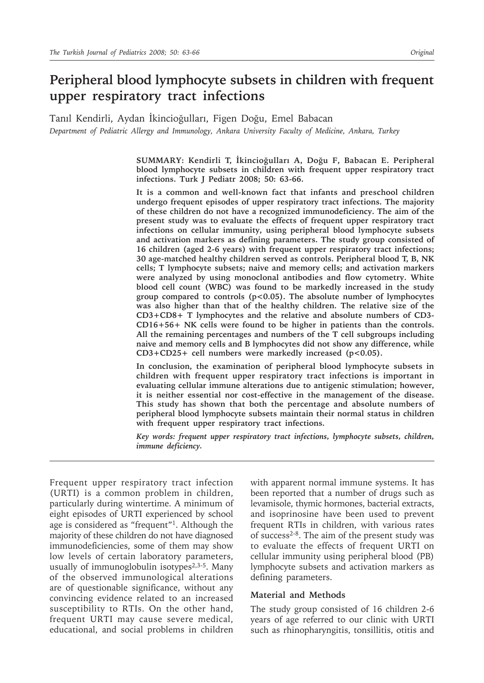# **Peripheral blood lymphocyte subsets in children with frequent upper respiratory tract infections**

Tanıl Kendirli, Aydan İkincioğulları, Figen Doğu, Emel Babacan *Department of Pediatric Allergy and Immunology, Ankara University Faculty of Medicine, Ankara, Turkey*

> **SUMMARY: Kendirli T, İkincioğulları A, Doğu F, Babacan E. Peripheral blood lymphocyte subsets in children with frequent upper respiratory tract infections. Turk J Pediatr 2008; 50: 63-66.**

> **It is a common and well-known fact that infants and preschool children undergo frequent episodes of upper respiratory tract infections. The majority of these children do not have a recognized immunodeficiency. The aim of the present study was to evaluate the effects of frequent upper respiratory tract infections on cellular immunity, using peripheral blood lymphocyte subsets and activation markers as defining parameters. The study group consisted of 16 children (aged 2-6 years) with frequent upper respiratory tract infections; 30 age-matched healthy children served as controls. Peripheral blood T, B, NK cells; T lymphocyte subsets; naive and memory cells; and activation markers were analyzed by using monoclonal antibodies and flow cytometry. White blood cell count (WBC) was found to be markedly increased in the study group compared to controls (p<0.05). The absolute number of lymphocytes was also higher than that of the healthy children. The relative size of the CD3+CD8+ T lymphocytes and the relative and absolute numbers of CD3- CD16+56+ NK cells were found to be higher in patients than the controls. All the remaining percentages and numbers of the T cell subgroups including naive and memory cells and B lymphocytes did not show any difference, while CD3+CD25+ cell numbers were markedly increased (p<0.05).**

> **In conclusion, the examination of peripheral blood lymphocyte subsets in children with frequent upper respiratory tract infections is important in evaluating cellular immune alterations due to antigenic stimulation; however, it is neither essential nor cost-effective in the management of the disease. This study has shown that both the percentage and absolute numbers of peripheral blood lymphocyte subsets maintain their normal status in children with frequent upper respiratory tract infections.**

> *Key words: frequent upper respiratory tract infections, lymphocyte subsets, children, immune deficiency.*

Frequent upper respiratory tract infection (URTI) is a common problem in children, particularly during wintertime. A minimum of eight episodes of URTI experienced by school age is considered as "frequent"1. Although the majority of these children do not have diagnosed immunodeficiencies, some of them may show low levels of certain laboratory parameters, usually of immunoglobulin isotypes $2,3-5$ . Many of the observed immunological alterations are of questionable significance, without any convincing evidence related to an increased susceptibility to RTIs. On the other hand, frequent URTI may cause severe medical, educational, and social problems in children

with apparent normal immune systems. It has been reported that a number of drugs such as levamisole, thymic hormones, bacterial extracts, and isoprinosine have been used to prevent frequent RTIs in children, with various rates of success2-8. The aim of the present study was to evaluate the effects of frequent URTI on cellular immunity using peripheral blood (PB) lymphocyte subsets and activation markers as defining parameters.

#### **Material and Methods**

The study group consisted of 16 children 2-6 years of age referred to our clinic with URTI such as rhinopharyngitis, tonsillitis, otitis and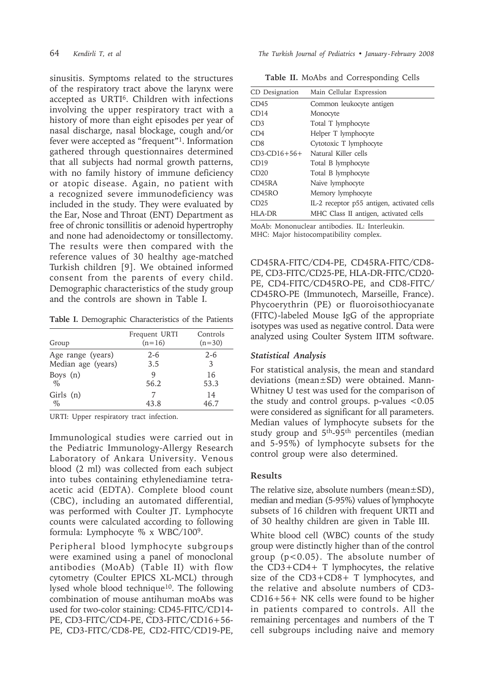sinusitis. Symptoms related to the structures of the respiratory tract above the larynx were accepted as URTI6. Children with infections involving the upper respiratory tract with a history of more than eight episodes per year of nasal discharge, nasal blockage, cough and/or fever were accepted as "frequent"1. Information gathered through questionnaires determined that all subjects had normal growth patterns, with no family history of immune deficiency or atopic disease. Again, no patient with a recognized severe immunodeficiency was included in the study. They were evaluated by the Ear, Nose and Throat (ENT) Department as free of chronic tonsillitis or adenoid hypertrophy and none had adenoidectomy or tonsillectomy. The results were then compared with the reference values of 30 healthy age-matched Turkish children [9]. We obtained informed consent from the parents of every child. Demographic characteristics of the study group and the controls are shown in Table I.

**Table I.** Demographic Characteristics of the Patients

| Group               | Frequent URTI<br>$(n=16)$ | Controls<br>$(n=30)$ |
|---------------------|---------------------------|----------------------|
| Age range (years)   | $2 - 6$                   | $2 - 6$              |
| Median age (years)  | 3.5                       | 3                    |
| Boys $(n)$          | 9                         | 16                   |
| $\%$                | 56.2                      | 53.3                 |
| Girls $(n)$<br>$\%$ | 43.8                      | 14<br>46.7           |

URTI: Upper respiratory tract infection.

Immunological studies were carried out in the Pediatric Immunology-Allergy Research Laboratory of Ankara University. Venous blood (2 ml) was collected from each subject into tubes containing ethylenediamine tetraacetic acid (EDTA). Complete blood count (CBC), including an automated differential, was performed with Coulter JT. Lymphocyte counts were calculated according to following formula: Lymphocyte % x WBC/1009.

Peripheral blood lymphocyte subgroups were examined using a panel of monoclonal antibodies (MoAb) (Table II) with flow cytometry (Coulter EPICS XL-MCL) through lysed whole blood technique<sup>10</sup>. The following combination of mouse antihuman moAbs was used for two-color staining: CD45-FITC/CD14- PE, CD3-FITC/CD4-PE, CD3-FITC/CD16+56- PE, CD3-FITC/CD8-PE, CD2-FITC/CD19-PE,

64 *Kendirli T, et al The Turkish Journal of Pediatrics • January - February 2008*

**Table II.** MoAbs and Corresponding Cells

| CD Designation     | Main Cellular Expression                   |  |  |
|--------------------|--------------------------------------------|--|--|
| CD45               | Common leukocyte antigen                   |  |  |
| CD14               | Monocyte                                   |  |  |
| CD3                | Total T lymphocyte                         |  |  |
| CD4                | Helper T lymphocyte                        |  |  |
| CD8                | Cytotoxic T lymphocyte                     |  |  |
| $CD3$ - $CD16+56+$ | Natural Killer cells                       |  |  |
| CD19               | Total B lymphocyte                         |  |  |
| CD20               | Total B lymphocyte                         |  |  |
| CD45RA             | Naive lymphocyte                           |  |  |
| CD45RO             | Memory lymphocyte                          |  |  |
| CD25               | IL-2 receptor p55 antigen, activated cells |  |  |
| HLA-DR             | MHC Class II antigen, activated cells      |  |  |
|                    |                                            |  |  |

MoAb: Mononuclear antibodies. IL: Interleukin. MHC: Major histocompatibility complex.

CD45RA-FITC/CD4-PE, CD45RA-FITC/CD8- PE, CD3-FITC/CD25-PE, HLA-DR-FITC/CD20- PE, CD4-FITC/CD45RO-PE, and CD8-FITC/ CD45RO-PE (Immunotech, Marseille, France). Phycoerythrin (PE) or fluoroisothiocyanate (FITC)-labeled Mouse IgG of the appropriate isotypes was used as negative control. Data were analyzed using Coulter System IITM software.

## *Statistical Analysis*

For statistical analysis, the mean and standard deviations (mean±SD) were obtained. Mann-Whitney U test was used for the comparison of the study and control groups. p-values <0.05 were considered as significant for all parameters. Median values of lymphocyte subsets for the study group and 5<sup>th</sup>-95<sup>th</sup> percentiles (median and 5-95%) of lymphocyte subsets for the control group were also determined.

## **Results**

The relative size, absolute numbers (mean ± SD), median and median (5-95%) values of lymphocyte subsets of 16 children with frequent URTI and of 30 healthy children are given in Table III.

White blood cell (WBC) counts of the study group were distinctly higher than of the control group  $(p<0.05)$ . The absolute number of the CD3+CD4+ T lymphocytes, the relative size of the CD3+CD8+ T lymphocytes, and the relative and absolute numbers of CD3- CD16+56+ NK cells were found to be higher in patients compared to controls. All the remaining percentages and numbers of the T cell subgroups including naive and memory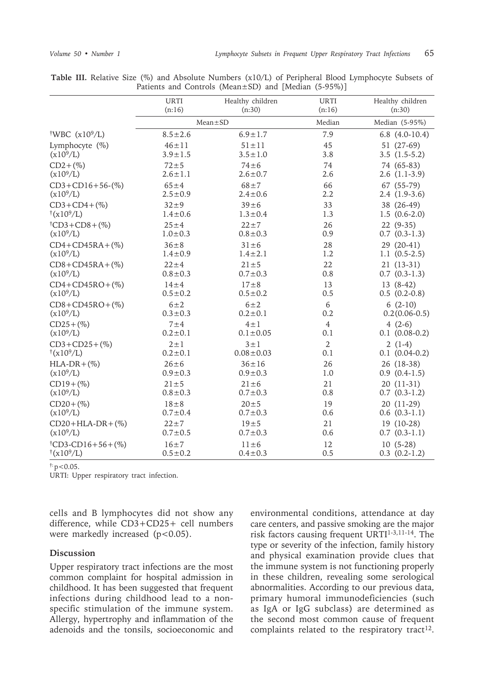|                                                       | <b>URTI</b>   | Healthy children | <b>URTI</b>    | Healthy children   |
|-------------------------------------------------------|---------------|------------------|----------------|--------------------|
|                                                       | (n:16)        | (n:30)           | (n:16)         | (n:30)             |
|                                                       | $Mean \pm SD$ |                  | Median         | Median (5-95%)     |
| <sup>†</sup> WBC $(x10^9/L)$                          | $8.5 \pm 2.6$ | $6.9 \pm 1.7$    | 7.9            | $6.8$ $(4.0-10.4)$ |
| Lymphocyte $(\%)$                                     | $46 \pm 11$   | $51 \pm 11$      | 45             | 51 (27-69)         |
| (x10 <sup>9</sup> /L)                                 | $3.9 \pm 1.5$ | $3.5 \pm 1.0$    | 3.8            | $3.5(1.5-5.2)$     |
| $CD2 + (\%)$                                          | $72 + 5$      | $74 \pm 6$       | 74             | 74 (65-83)         |
| $(x10^9/L)$                                           | $2.6 \pm 1.1$ | $2.6 \pm 0.7$    | 2.6            | $2.6(1.1-3.9)$     |
| $CD3 + CD16 + 56-(%)$                                 | $65 + 4$      | $68 + 7$         | 66             | 67 (55-79)         |
| $(x10^9/L)$                                           | $2.5 \pm 0.9$ | $2.4 \pm 0.6$    | 2.2            | $2.4(1.9-3.6)$     |
| $CD3+CD4+(\%)$                                        | $32 + 9$      | $39 \pm 6$       | 33             | 38 (26-49)         |
| $\frac{1}{(x10^9/L)}$                                 | $1.4 \pm 0.6$ | $1.3 \pm 0.4$    | 1.3            | $1.5(0.6-2.0)$     |
| $\text{\textdegree{t}}\text{CD}3 + \text{CD}8 + (\%)$ | $25 + 4$      | $22 + 7$         | 26             | $22(9-35)$         |
| $(x10^9/L)$                                           | $1.0 \pm 0.3$ | $0.8 \pm 0.3$    | 0.9            | $0.7$ $(0.3-1.3)$  |
| $CD4+CD45RA+(%)$                                      | $36 \pm 8$    | $31 \pm 6$       | 28             | 29 (20-41)         |
| $(x10^9/L)$                                           | $1.4 \pm 0.9$ | $1.4 \pm 2.1$    | 1.2            | $1.1(0.5-2.5)$     |
| $CD8 + CD45RA + (\%)$                                 | $22 + 4$      | $21 \pm 5$       | 22             | $21(13-31)$        |
| $(x10^{9}/L)$                                         | $0.8 \pm 0.3$ | $0.7 \pm 0.3$    | 0.8            | $0.7(0.3-1.3)$     |
| $CD4+CD45RO+(%)$                                      | $14\pm4$      | $17 + 8$         | 13             | $13(8-42)$         |
| $(x10^9/L)$                                           | $0.5 \pm 0.2$ | $0.5 \pm 0.2$    | 0.5            | $0.5(0.2-0.8)$     |
| $CD8 + CD45RO + (\%)$                                 | $6\pm2$       | $6\pm2$          | 6              | $6(2-10)$          |
| $(x10^{9}/L)$                                         | $0.3 \pm 0.3$ | $0.2 \pm 0.1$    | 0.2            | $0.2(0.06-0.5)$    |
| $CD25 + (\%)$                                         | $7\pm4$       | $4 \pm 1$        | $\overline{4}$ | $4(2-6)$           |
| $(x10^{9}/L)$                                         | $0.2 \pm 0.1$ | $0.1 \pm 0.05$   | 0.1            | $0.1$ $(0.08-0.2)$ |
| $CD3 + CD25 + (\%)$                                   | $2 \pm 1$     | $3 \pm 1$        | $\overline{2}$ | $2(1-4)$           |
| $\frac{\dagger (x10^9/L)}{}$                          | $0.2 \pm 0.1$ | $0.08 \pm 0.03$  | 0.1            | $0.1(0.04-0.2)$    |
| $HLA-DR+(\%)$                                         | $26 \pm 6$    | $36 \pm 16$      | 26             | 26 (18-38)         |
| $(x10^9/L)$                                           | $0.9 \pm 0.3$ | $0.9 \pm 0.3$    | 1.0            | $0.9(0.4-1.5)$     |
| $CD19 + (\%)$                                         | $21 \pm 5$    | $21 \pm 6$       | 21             | 20 (11-31)         |
| $(x10^{9}/L)$                                         | $0.8 \pm 0.3$ | $0.7 \pm 0.3$    | 0.8            | $0.7$ $(0.3-1.2)$  |
| $CD20 + (\%)$                                         | $18 \pm 8$    | $20 \pm 5$       | 19             | 20 (11-29)         |
| $(x10^{9}/L)$                                         | $0.7 \pm 0.4$ | $0.7 \pm 0.3$    | 0.6            | $0.6$ $(0.3-1.1)$  |
| $CD20+HLA-DR+(%)$                                     | $22 \pm 7$    | $19 + 5$         | 21             | 19 (10-28)         |
| $(x10^9/L)$                                           | $0.7 \pm 0.5$ | $0.7 \pm 0.3$    | 0.6            | $0.7$ $(0.3-1.1)$  |
| $(CD3-CD16+56+(%)$                                    | $16 \pm 7$    | $11\pm 6$        | 12             | $10(5-28)$         |
| $\frac{\dagger (x10^9/L)}{}$                          | $0.5 \pm 0.2$ | $0.4 \pm 0.3$    | 0.5            | $0.3$ $(0.2-1.2)$  |

**Table III.** Relative Size (%) and Absolute Numbers (x10/L) of Peripheral Blood Lymphocyte Subsets of Patients and Controls (Mean±SD) and [Median (5-95%)]

 $\ddot{p}$  = 0.05.

URTI: Upper respiratory tract infection.

cells and B lymphocytes did not show any difference, while CD3+CD25+ cell numbers were markedly increased (p<0.05).

#### **Discussion**

Upper respiratory tract infections are the most common complaint for hospital admission in childhood. It has been suggested that frequent infections during childhood lead to a nonspecific stimulation of the immune system. Allergy, hypertrophy and inflammation of the adenoids and the tonsils, socioeconomic and environmental conditions, attendance at day care centers, and passive smoking are the major risk factors causing frequent URTI1-3,11-14. The type or severity of the infection, family history and physical examination provide clues that the immune system is not functioning properly in these children, revealing some serological abnormalities. According to our previous data, primary humoral immunodeficiencies (such as IgA or IgG subclass) are determined as the second most common cause of frequent complaints related to the respiratory tract<sup>12</sup>.